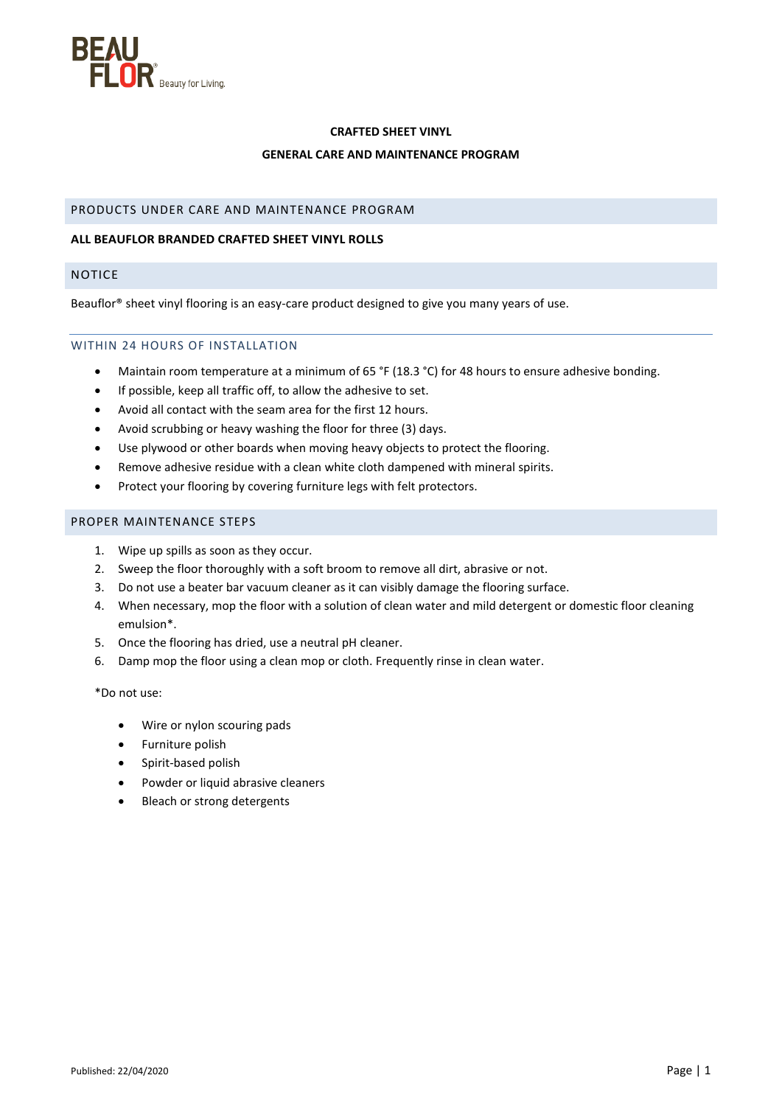

## **CRAFTED SHEET VINYL**

## **GENERAL CARE AND MAINTENANCE PROGRAM**

## PRODUCTS UNDER CARE AND MAINTENANCE PROGRAM

## **ALL BEAUFLOR BRANDED CRAFTED SHEET VINYL ROLLS**

## NOTICE

Beauflor® sheet vinyl flooring is an easy-care product designed to give you many years of use.

## WITHIN 24 HOURS OF INSTALLATION

- Maintain room temperature at a minimum of 65 °F (18.3 °C) for 48 hours to ensure adhesive bonding.
- If possible, keep all traffic off, to allow the adhesive to set.
- Avoid all contact with the seam area for the first 12 hours.
- Avoid scrubbing or heavy washing the floor for three (3) days.
- Use plywood or other boards when moving heavy objects to protect the flooring.
- Remove adhesive residue with a clean white cloth dampened with mineral spirits.
- Protect your flooring by covering furniture legs with felt protectors.

## PROPER MAINTENANCE STEPS

- 1. Wipe up spills as soon as they occur.
- 2. Sweep the floor thoroughly with a soft broom to remove all dirt, abrasive or not.
- 3. Do not use a beater bar vacuum cleaner as it can visibly damage the flooring surface.
- 4. When necessary, mop the floor with a solution of clean water and mild detergent or domestic floor cleaning emulsion\*.
- 5. Once the flooring has dried, use a neutral pH cleaner.
- 6. Damp mop the floor using a clean mop or cloth. Frequently rinse in clean water.

\*Do not use:

- Wire or nylon scouring pads
- Furniture polish
- Spirit-based polish
- Powder or liquid abrasive cleaners
- Bleach or strong detergents